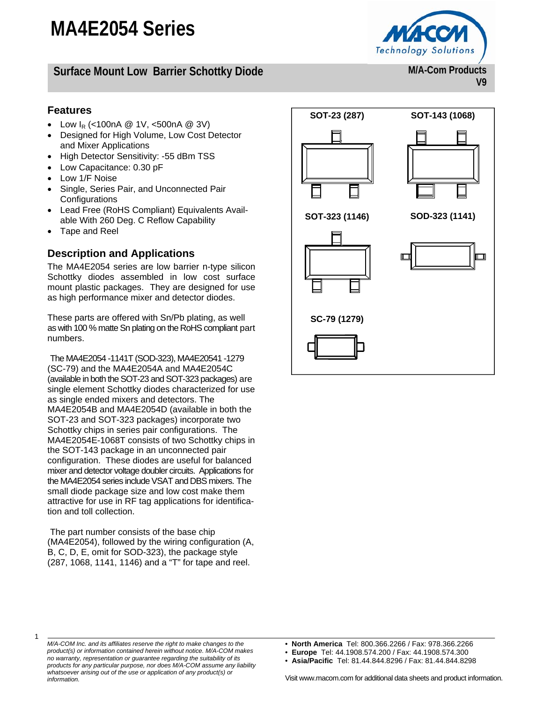## **Surface Mount Low Barrier Schottky Diode**

#### **Features**

- Low  $I_R$  (<100nA  $\textcircled{2}$  1V, <500nA  $\textcircled{2}$  3V)
- Designed for High Volume, Low Cost Detector and Mixer Applications
- High Detector Sensitivity: -55 dBm TSS
- Low Capacitance: 0.30 pF
- Low 1/F Noise
- Single, Series Pair, and Unconnected Pair **Configurations**
- Lead Free (RoHS Compliant) Equivalents Available With 260 Deg. C Reflow Capability
- Tape and Reel

#### **Description and Applications**

The MA4E2054 series are low barrier n-type silicon Schottky diodes assembled in low cost surface mount plastic packages. They are designed for use as high performance mixer and detector diodes.

These parts are offered with Sn/Pb plating, as well as with 100 % matte Sn plating on the RoHS compliant part numbers.

The MA4E2054 -1141T (SOD-323), MA4E20541 -1279 (SC-79) and the MA4E2054A and MA4E2054C (available in both the SOT-23 and SOT-323 packages) are single element Schottky diodes characterized for use as single ended mixers and detectors. The MA4E2054B and MA4E2054D (available in both the SOT-23 and SOT-323 packages) incorporate two Schottky chips in series pair configurations. The MA4E2054E-1068T consists of two Schottky chips in the SOT-143 package in an unconnected pair configuration. These diodes are useful for balanced mixer and detector voltage doubler circuits. Applications for the MA4E2054 series include VSAT and DBS mixers. The small diode package size and low cost make them attractive for use in RF tag applications for identification and toll collection.

The part number consists of the base chip (MA4E2054), followed by the wiring configuration (A, B, C, D, E, omit for SOD-323), the package style (287, 1068, 1141, 1146) and a "T" for tape and reel.



- **North America** Tel: 800.366.2266 / Fax: 978.366.2266
- **Europe** Tel: 44.1908.574.200 / Fax: 44.1908.574.300
- **Asia/Pacific** Tel: 81.44.844.8296 / Fax: 81.44.844.8298

*product(s) or information contained herein without notice. M/A-COM makes no warranty, representation or guarantee regarding the suitability of its products for any particular purpose, nor does M/A-COM assume any liability whatsoever arising out of the use or application of any product(s) or information.* 

*M/A-COM Inc. and its affiliates reserve the right to make changes to the* 

1



**M/A-Com Products** 

**V9**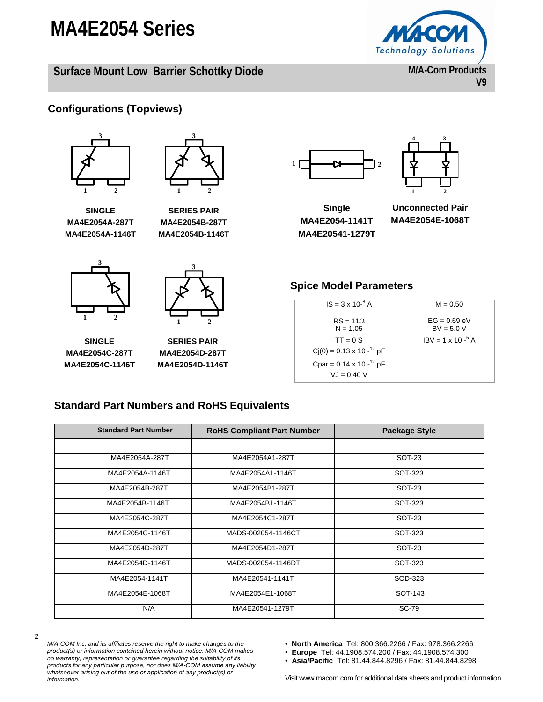**Surface Mount Low Barrier Schottky Diode** 



**M/A-Com Products V9** 

### **Configurations (Topviews)**





**SERIES PAIR MA4E2054B-287T MA4E2054B-1146T** 

**SINGLE MA4E2054A-287T MA4E2054A-1146T** 

**3**



**SINGLE MA4E2054C-287T MA4E2054C-1146T** 

**1 2**

**SERIES PAIR MA4E2054D-287T MA4E2054D-1146T** 





**Single MA4E2054-1141T MA4E20541-1279T** 

**Unconnected Pair MA4E2054E-1068T** 

#### **Spice Model Parameters**

| $IS = 3 \times 10^{-8}$ A         | $M = 0.50$                     |
|-----------------------------------|--------------------------------|
| $RS = 11\Omega$<br>$N = 1.05$     | $EG = 0.69$ eV<br>$BV = 5.0 V$ |
| $TT = 0S$                         | $IRV = 1 \times 10^{-5}$ A     |
| $Cj(0) = 0.13 \times 10^{-12} pF$ |                                |
| Cpar = $0.14 \times 10^{-12}$ pF  |                                |
| $V = 0.40 V$                      |                                |
|                                   |                                |

#### **Standard Part Numbers and RoHS Equivalents**

| <b>Standard Part Number</b> | <b>RoHS Compliant Part Number</b> | <b>Package Style</b> |
|-----------------------------|-----------------------------------|----------------------|
|                             |                                   |                      |
| MA4E2054A-287T              | MA4E2054A1-287T                   | <b>SOT-23</b>        |
| MA4E2054A-1146T             | MA4E2054A1-1146T                  | SOT-323              |
| MA4E2054B-287T              | MA4E2054B1-287T                   | SOT-23               |
| MA4E2054B-1146T             | MA4E2054B1-1146T                  | SOT-323              |
| MA4E2054C-287T              | MA4E2054C1-287T                   | SOT-23               |
| MA4E2054C-1146T             | MADS-002054-1146CT                | SOT-323              |
| MA4E2054D-287T              | MA4E2054D1-287T                   | <b>SOT-23</b>        |
| MA4E2054D-1146T             | MADS-002054-1146DT                | SOT-323              |
| MA4E2054-1141T              | MA4E20541-1141T                   | SOD-323              |
| MA4E2054E-1068T             | MA4E2054E1-1068T                  | SOT-143              |
| N/A                         | MA4E20541-1279T                   | <b>SC-79</b>         |

*M/A-COM Inc. and its affiliates reserve the right to make changes to the product(s) or information contained herein without notice. M/A-COM makes no warranty, representation or guarantee regarding the suitability of its products for any particular purpose, nor does M/A-COM assume any liability whatsoever arising out of the use or application of any product(s) or information.* 

• **North America** Tel: 800.366.2266 / Fax: 978.366.2266

• **Europe** Tel: 44.1908.574.200 / Fax: 44.1908.574.300

• **Asia/Pacific** Tel: 81.44.844.8296 / Fax: 81.44.844.8298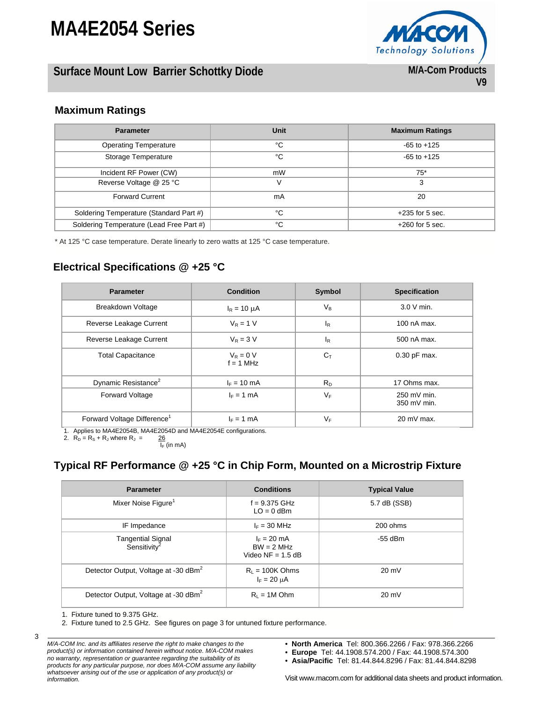## **Surface Mount Low Barrier Schottky Diode**



### **Maximum Ratings**

| <b>Parameter</b>                         | <b>Unit</b> | <b>Maximum Ratings</b> |
|------------------------------------------|-------------|------------------------|
| <b>Operating Temperature</b>             | °C          | $-65$ to $+125$        |
| Storage Temperature                      | °C          | $-65$ to $+125$        |
| Incident RF Power (CW)                   | mW          | $75*$                  |
| Reverse Voltage @ 25 °C                  | v           | 3                      |
| <b>Forward Current</b>                   | mA          | 20                     |
| Soldering Temperature (Standard Part #)  | °C          | $+235$ for 5 sec.      |
| Soldering Temperature (Lead Free Part #) | °C          | $+260$ for 5 sec.      |

\* At 125 °C case temperature. Derate linearly to zero watts at 125 °C case temperature.

### **Electrical Specifications @ +25 °C**

| <b>Parameter</b>                        | <b>Condition</b>           | Symbol         | <b>Specification</b>       |
|-----------------------------------------|----------------------------|----------------|----------------------------|
| <b>Breakdown Voltage</b>                | $I_R = 10 \mu A$           | $V_{B}$        | 3.0 V min.                 |
| Reverse Leakage Current                 | $V_R = 1 V$                | $I_R$          | 100 nA max.                |
| Reverse Leakage Current                 | $V_R = 3 V$                | $I_R$          | 500 nA max.                |
| <b>Total Capacitance</b>                | $V_R = 0 V$<br>$f = 1$ MHz | $C_{\text{T}}$ | 0.30 pF max.               |
| Dynamic Resistance <sup>2</sup>         | $I_F = 10$ mA              | $R_{D}$        | 17 Ohms max.               |
| <b>Forward Voltage</b>                  | $I_F = 1$ mA               | $V_F$          | 250 mV min.<br>350 mV min. |
| Forward Voltage Difference <sup>1</sup> | $I_F = 1$ mA               | $V_F$          | $20 \text{ mV}$ max.       |

1. Applies to MA4E2054B, MA4E2054D and MA4E2054E configurations. 2.  $R_D = R_S + R_J$  where  $R_J =$ 

 $\frac{26}{I_F}$  (in mA)

#### **Typical RF Performance @ +25 °C in Chip Form, Mounted on a Microstrip Fixture**

| <b>Parameter</b>                                     | <b>Conditions</b>                                    | <b>Typical Value</b> |
|------------------------------------------------------|------------------------------------------------------|----------------------|
| Mixer Noise Figure <sup>1</sup>                      | $f = 9.375$ GHz<br>$LO = 0$ dBm                      | 5.7 dB (SSB)         |
| IF Impedance                                         | $I_F = 30$ MHz                                       | 200 ohms             |
| <b>Tangential Signal</b><br>Sensitivity <sup>2</sup> | $I_F = 20$ mA<br>$BW = 2 MHz$<br>Video $NF = 1.5$ dB | $-55$ dBm            |
| Detector Output, Voltage at -30 dBm <sup>2</sup>     | $R1 = 100K Ohms$<br>$I_F = 20 \mu A$                 | $20 \text{ mV}$      |
| Detector Output, Voltage at -30 dBm <sup>2</sup>     | $R1 = 1M Ohm$                                        | $20 \text{ mV}$      |

1. Fixture tuned to 9.375 GHz.

3

2. Fixture tuned to 2.5 GHz. See figures on page 3 for untuned fixture performance.

- **North America** Tel: 800.366.2266 / Fax: 978.366.2266
- **Europe** Tel: 44.1908.574.200 / Fax: 44.1908.574.300
- **Asia/Pacific** Tel: 81.44.844.8296 / Fax: 81.44.844.8298

*M/A-COM Inc. and its affiliates reserve the right to make changes to the product(s) or information contained herein without notice. M/A-COM makes no warranty, representation or guarantee regarding the suitability of its products for any particular purpose, nor does M/A-COM assume any liability whatsoever arising out of the use or application of any product(s) or information.*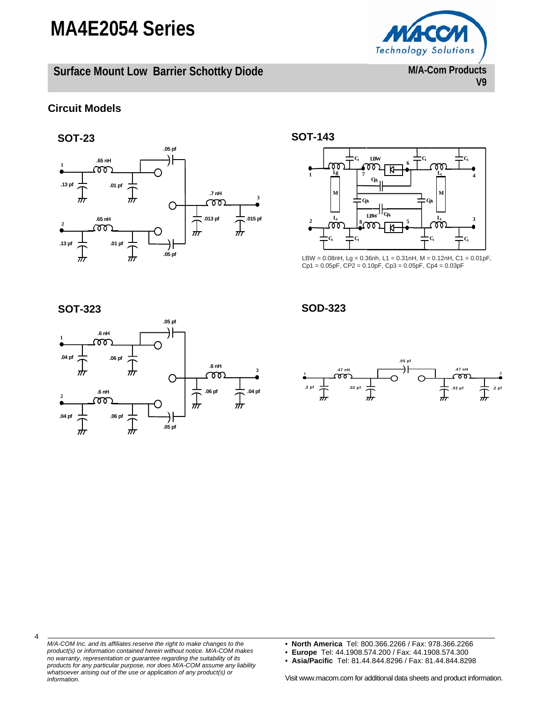**Surface Mount Low Barrier Schottky Diode** 

**V9** 

#### **Circuit Models**





LBW = 0.08nH, Lg = 0.36nh, L1 = 0.31nH, M = 0.12nH, C1 = 0.01pF, Cp1 = 0.05pF, CP2 = 0.10pF, Cp3 = 0.05pF, Cp4 = 0.03pF

4



**SOT-323 SOD-323** 



*M/A-COM Inc. and its affiliates reserve the right to make changes to the product(s) or information contained herein without notice. M/A-COM makes no warranty, representation or guarantee regarding the suitability of its products for any particular purpose, nor does M/A-COM assume any liability whatsoever arising out of the use or application of any product(s) or information.* 

- **North America** Tel: 800.366.2266 / Fax: 978.366.2266
- **Europe** Tel: 44.1908.574.200 / Fax: 44.1908.574.300
- **Asia/Pacific** Tel: 81.44.844.8296 / Fax: 81.44.844.8298

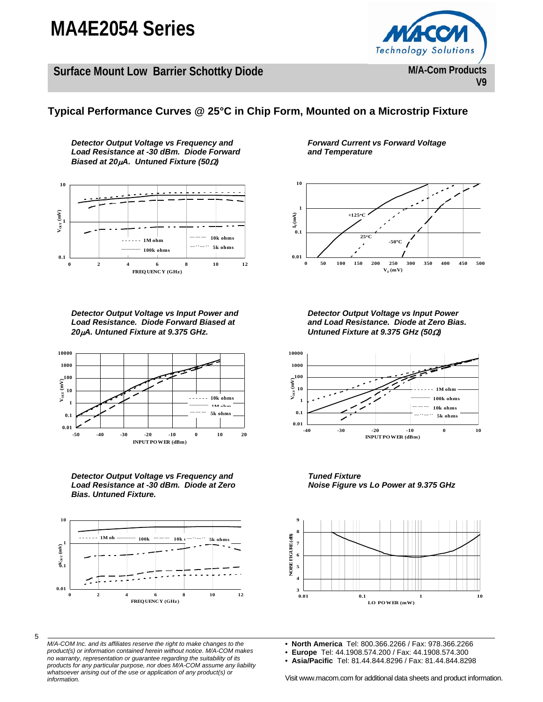**Surface Mount Low Barrier Schottky Diode** 



#### **Typical Performance Curves @ 25°C in Chip Form, Mounted on a Microstrip Fixture**

*Detector Output Voltage vs Frequency and Load Resistance at -30 dBm. Diode Forward Biased at 20*μ*A. Untuned Fixture (50*Ω*)* 



*Detector Output Voltage vs Input Power and Load Resistance. Diode Forward Biased at 20*μ*A. Untuned Fixture at 9.375 GHz.* 



*Detector Output Voltage vs Frequency and Load Resistance at -30 dBm. Diode at Zero Bias. Untuned Fixture.* 



5

*M/A-COM Inc. and its affiliates reserve the right to make changes to the product(s) or information contained herein without notice. M/A-COM makes no warranty, representation or guarantee regarding the suitability of its products for any particular purpose, nor does M/A-COM assume any liability whatsoever arising out of the use or application of any product(s) or information.* 

*Forward Current vs Forward Voltage and Temperature* 



*Detector Output Voltage vs Input Power and Load Resistance. Diode at Zero Bias. Untuned Fixture at 9.375 GHz (50*Ω*)* 



*Tuned Fixture Noise Figure vs Lo Power at 9.375 GHz* 



• **North America** Tel: 800.366.2266 / Fax: 978.366.2266

• **Europe** Tel: 44.1908.574.200 / Fax: 44.1908.574.300

• **Asia/Pacific** Tel: 81.44.844.8296 / Fax: 81.44.844.8298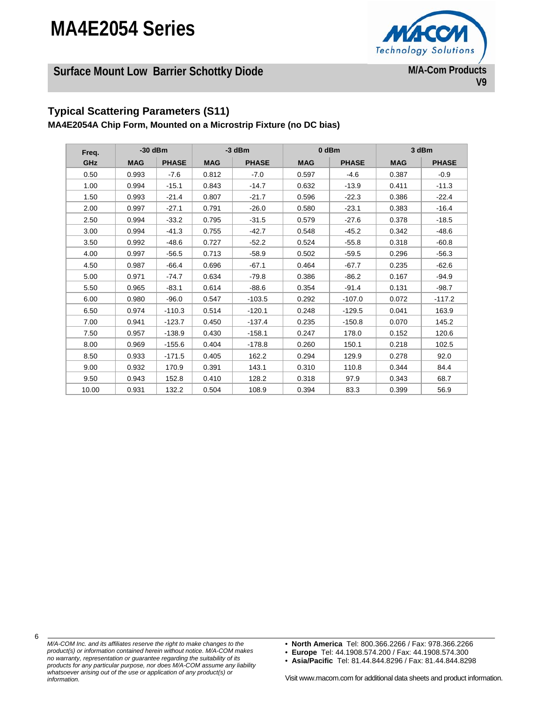

## **Surface Mount Low Barrier Schottky Diode**

## **Typical Scattering Parameters (S11)**

**MA4E2054A Chip Form, Mounted on a Microstrip Fixture (no DC bias)** 

| Freq.      | $-30$ dBm  |              |            | $-3$ dBm     | 0 dBm      |              |            | 3 dBm        |
|------------|------------|--------------|------------|--------------|------------|--------------|------------|--------------|
| <b>GHz</b> | <b>MAG</b> | <b>PHASE</b> | <b>MAG</b> | <b>PHASE</b> | <b>MAG</b> | <b>PHASE</b> | <b>MAG</b> | <b>PHASE</b> |
| 0.50       | 0.993      | $-7.6$       | 0.812      | $-7.0$       | 0.597      | $-4.6$       | 0.387      | $-0.9$       |
| 1.00       | 0.994      | $-15.1$      | 0.843      | $-14.7$      | 0.632      | $-13.9$      | 0.411      | $-11.3$      |
| 1.50       | 0.993      | $-21.4$      | 0.807      | $-21.7$      | 0.596      | $-22.3$      | 0.386      | $-22.4$      |
| 2.00       | 0.997      | $-27.1$      | 0.791      | $-26.0$      | 0.580      | $-23.1$      | 0.383      | $-16.4$      |
| 2.50       | 0.994      | $-33.2$      | 0.795      | $-31.5$      | 0.579      | $-27.6$      | 0.378      | $-18.5$      |
| 3.00       | 0.994      | $-41.3$      | 0.755      | $-42.7$      | 0.548      | $-45.2$      | 0.342      | $-48.6$      |
| 3.50       | 0.992      | $-48.6$      | 0.727      | $-52.2$      | 0.524      | $-55.8$      | 0.318      | $-60.8$      |
| 4.00       | 0.997      | $-56.5$      | 0.713      | $-58.9$      | 0.502      | $-59.5$      | 0.296      | $-56.3$      |
| 4.50       | 0.987      | $-66.4$      | 0.696      | $-67.1$      | 0.464      | $-67.7$      | 0.235      | $-62.6$      |
| 5.00       | 0.971      | $-74.7$      | 0.634      | $-79.8$      | 0.386      | $-86.2$      | 0.167      | $-94.9$      |
| 5.50       | 0.965      | $-83.1$      | 0.614      | $-88.6$      | 0.354      | $-91.4$      | 0.131      | $-98.7$      |
| 6.00       | 0.980      | $-96.0$      | 0.547      | $-103.5$     | 0.292      | $-107.0$     | 0.072      | $-117.2$     |
| 6.50       | 0.974      | $-110.3$     | 0.514      | $-120.1$     | 0.248      | $-129.5$     | 0.041      | 163.9        |
| 7.00       | 0.941      | $-123.7$     | 0.450      | $-137.4$     | 0.235      | $-150.8$     | 0.070      | 145.2        |
| 7.50       | 0.957      | $-138.9$     | 0.430      | $-158.1$     | 0.247      | 178.0        | 0.152      | 120.6        |
| 8.00       | 0.969      | $-155.6$     | 0.404      | $-178.8$     | 0.260      | 150.1        | 0.218      | 102.5        |
| 8.50       | 0.933      | $-171.5$     | 0.405      | 162.2        | 0.294      | 129.9        | 0.278      | 92.0         |
| 9.00       | 0.932      | 170.9        | 0.391      | 143.1        | 0.310      | 110.8        | 0.344      | 84.4         |
| 9.50       | 0.943      | 152.8        | 0.410      | 128.2        | 0.318      | 97.9         | 0.343      | 68.7         |
| 10.00      | 0.931      | 132.2        | 0.504      | 108.9        | 0.394      | 83.3         | 0.399      | 56.9         |

*M/A-COM Inc. and its affiliates reserve the right to make changes to the product(s) or information contained herein without notice. M/A-COM makes no warranty, representation or guarantee regarding the suitability of its products for any particular purpose, nor does M/A-COM assume any liability whatsoever arising out of the use or application of any product(s) or information.* 

• **North America** Tel: 800.366.2266 / Fax: 978.366.2266

• **Europe** Tel: 44.1908.574.200 / Fax: 44.1908.574.300

• **Asia/Pacific** Tel: 81.44.844.8296 / Fax: 81.44.844.8298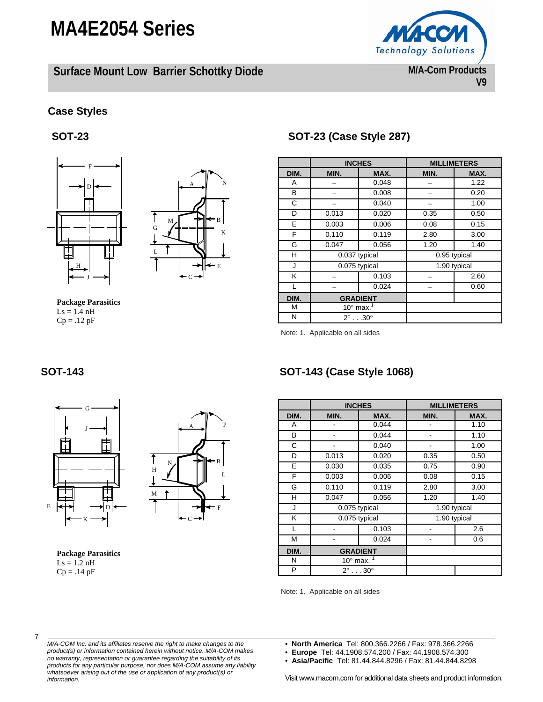**Surface Mount Low Barrier Schottky Diode** 



#### **Case Styles**

**SOT-23** 





**Package Parasitics**   $\text{Ls} = 1.4 \text{ nH}$  $Cp = .12 pF$ 

## **SOT-23 (Case Style 287)**

|      | <b>INCHES</b>                   |       | <b>MILLIMETERS</b> |      |
|------|---------------------------------|-------|--------------------|------|
| DIM. | MIN.                            | MAX.  | MIN.               | MAX. |
| A    |                                 | 0.048 |                    | 1.22 |
| в    |                                 | 0.008 |                    | 0.20 |
| C    |                                 | 0.040 |                    | 1.00 |
| D    | 0.013                           | 0.020 | 0.35               | 0.50 |
| E    | 0.003                           | 0.006 | 0.08               | 0.15 |
| F    | 0.110                           | 0.119 | 2.80               | 3.00 |
| G    | 0.047                           | 0.056 | 1.20               | 1.40 |
| н    | 0.037 typical                   |       | 0.95 typical       |      |
| J    | 0.075 typical                   |       | 1.90 typical       |      |
| K    |                                 | 0.103 |                    | 2.60 |
|      |                                 | 0.024 |                    | 0.60 |
| DIM. | <b>GRADIENT</b>                 |       |                    |      |
| M    | 10 $^{\circ}$ max. <sup>1</sup> |       |                    |      |
| N    | $2^\circ$ 30 $^\circ$           |       |                    |      |

Note: 1. Applicable on all sides





**Package Parasitics**   $\text{Ls} = 1.2 \text{ nH}$  $Cp = .14 pF$ 

## **SOT-143 SOT-143 (Case Style 1068)**

|      | <b>INCHES</b>        |                 | <b>MILLIMETERS</b> |      |
|------|----------------------|-----------------|--------------------|------|
| DIM. | MIN.                 | MAX.            | MIN.               | MAX. |
| A    |                      | 0.044           |                    | 1.10 |
| B    |                      | 0.044           |                    | 1.10 |
| С    |                      | 0.040           |                    | 1.00 |
| D    | 0.013                | 0.020           | 0.35               | 0.50 |
| E    | 0.030                | 0.035           | 0.75               | 0.90 |
| F    | 0.003                | 0.006           | 0.08               | 0.15 |
| G    | 0.110                | 0.119           | 2.80               | 3.00 |
| н    | 0.047                | 0.056           | 1.20               | 1.40 |
| J    | 0.075 typical        |                 | 1.90 typical       |      |
| Κ    | 0.075 typical        |                 | 1.90 typical       |      |
|      |                      | 0.103           |                    | 2.6  |
| М    |                      | 0.024           |                    | 0.6  |
| DIM. |                      | <b>GRADIENT</b> |                    |      |
| N    | $10^\circ$ max.      |                 |                    |      |
| P    | $2^\circ$ $30^\circ$ |                 |                    |      |

Note: 1. Applicable on all sides

7

- *M/A-COM Inc. and its affiliates reserve the right to make changes to the product(s) or information contained herein without notice. M/A-COM makes no warranty, representation or guarantee regarding the suitability of its products for any particular purpose, nor does M/A-COM assume any liability whatsoever arising out of the use or application of any product(s) or information.*
- **North America** Tel: 800.366.2266 / Fax: 978.366.2266
- **Europe** Tel: 44.1908.574.200 / Fax: 44.1908.574.300
- **Asia/Pacific** Tel: 81.44.844.8296 / Fax: 81.44.844.8298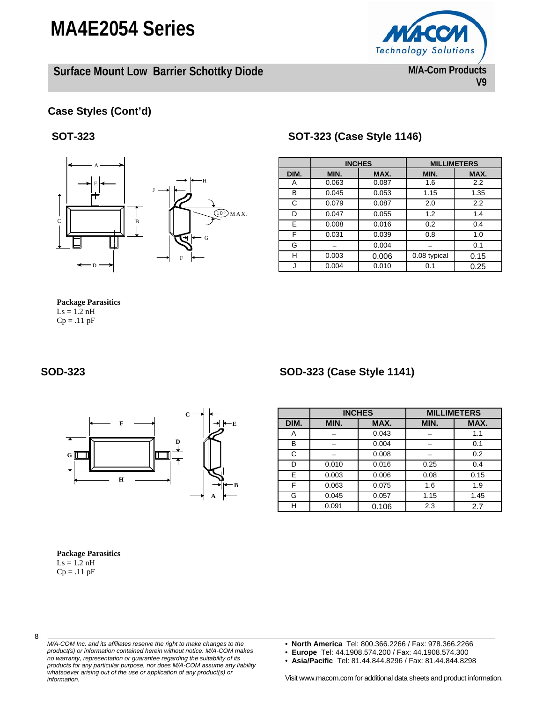**Surface Mount Low Barrier Schottky Diode** 



#### **Case Styles (Cont'd)**

#### **SOT-323**



#### **SOT-323 (Case Style 1146)**

|      | <b>INCHES</b> |       | <b>MILLIMETERS</b> |      |
|------|---------------|-------|--------------------|------|
| DIM. | MIN.          | MAX.  | MIN.               | MAX. |
| Α    | 0.063         | 0.087 | 1.6                | 2.2  |
| в    | 0.045         | 0.053 | 1.15               | 1.35 |
| C    | 0.079         | 0.087 | 2.0                | 2.2  |
| D    | 0.047         | 0.055 | 1.2                | 1.4  |
| E    | 0.008         | 0.016 | 0.2                | 0.4  |
| F    | 0.031         | 0.039 | 0.8                | 1.0  |
| G    |               | 0.004 |                    | 0.1  |
| н    | 0.003         | 0.006 | 0.08 typical       | 0.15 |
|      | 0.004         | 0.010 | 0.1                | 0.25 |

#### **Package Parasitics**   $Ls = 1.2 nH$

 $Cp = .11$   $pF$ 

#### **SOD-323 SOD-323 (Case Style 1141)**



|      | <b>INCHES</b> |       |      | <b>MILLIMETERS</b> |
|------|---------------|-------|------|--------------------|
| DIM. | MIN.          | MAX.  | MIN. | MAX.               |
|      |               | 0.043 |      | 1.1                |
| в    |               | 0.004 |      | 0.1                |
| C    |               | 0.008 |      | 0.2                |
| D    | 0.010         | 0.016 | 0.25 | 0.4                |
| E.   | 0.003         | 0.006 | 0.08 | 0.15               |
| F    | 0.063         | 0.075 | 1.6  | 1.9                |
| G    | 0.045         | 0.057 | 1.15 | 1.45               |
| н    | 0.091         | 0.106 | 2.3  | 2.7                |

#### **Package Parasitics**

 $\text{Ls} = 1.2 \text{ nH}$  $Cp = .11$   $pF$ 



- *M/A-COM Inc. and its affiliates reserve the right to make changes to the product(s) or information contained herein without notice. M/A-COM makes no warranty, representation or guarantee regarding the suitability of its products for any particular purpose, nor does M/A-COM assume any liability whatsoever arising out of the use or application of any product(s) or information.*
- **North America** Tel: 800.366.2266 / Fax: 978.366.2266
- **Europe** Tel: 44.1908.574.200 / Fax: 44.1908.574.300
- **Asia/Pacific** Tel: 81.44.844.8296 / Fax: 81.44.844.8298